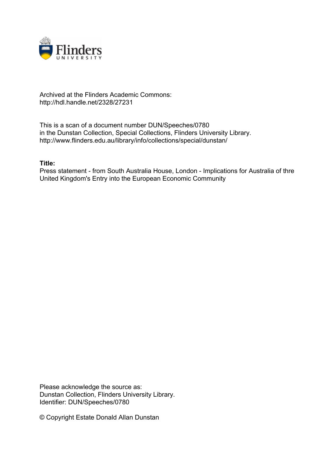

## Archived at the Flinders Academic Commons: http://hdl.handle.net/2328/27231

This is a scan of a document number DUN/Speeches/0780 in the Dunstan Collection, Special Collections, Flinders University Library. http://www.flinders.edu.au/library/info/collections/special/dunstan/

## **Title:**

Press statement - from South Australia House, London - Implications for Australia of thre United Kingdom's Entry into the European Economic Community

Please acknowledge the source as: Dunstan Collection, Flinders University Library. Identifier: DUN/Speeches/0780

© Copyright Estate Donald Allan Dunstan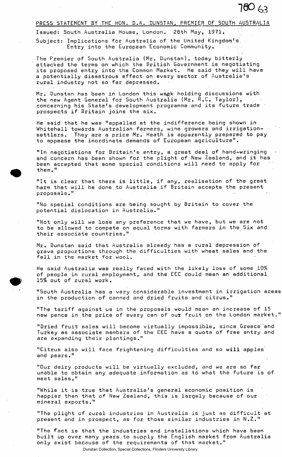$760$   $63$ 

## PRESS STATEMENT BY THE HON. D.A. DUNSTAN, PREMIER OF SOUTH AUSTRALIA

Issued: South Australia House, London. 28th May, 1971. Subject: Implications for Australia of the United Kingdom's. . Entry into the European Economic Community.  $\blacksquare$ 

The Premier.of South Australia (Mr. Dunstan), today bitterly attacked the terms on which the British Government is negotiating its proposed entry into the Common Market. He said they will have a potentially disastrous effect on every sector of Australia's rural industry not so far depressed.

Mr. Dunstan has been in London this week holding discussions with the new Agent General for South Australia (Mr. R.C. Taylor), concerning his State's development programme and its future trade prospects if Britain joins the six.

He said that he was "appalled at the indifference being shown in Whitehall towards Australian farmers, wine growers and irrigationsettlers. They are a price Mr. Heath is apparently prepared to pay to appease the inordinate demands of European agriculture".

"In negotiations for Britain's entry, a great deal of hand-wringing and concern has been shown for the plight of New Zealand, and it has been accepted that some special conditions will need to apply for them."

"It is clear that there is little, if any, realisation of the great harm that will be done to Australia if Britain accepts the present proposals."

"No special conditions are being sought by Britain to cover the potential dislocation in Australia."

"Not only will we lose any preference that we have, but we are not to be allowed to compete on equal terms with farmers in the.Six and their associate countries."

Mr. Dunstan said that Australia already has a rural depression of grave proportions through the difficulties with wheat sales and the fall in the market for wool.

He said Australia was really faced with the likely loss of some 10% of people in rural employment, and the EEC dould mean an additional 15% out of rural work.

"South Australia has a very considerable investment in irrigation areas in the production of canned and dried fruits and citrus."

"The tariff against us in the proposals would mean an increase of 15 new pence in the price of every can of our fruit on the London market."

"Dried fruit sales will become virtually impossible, since Greece 'and Turkey as associate members of the EEC have a quota of free entry and are expanding their plantings."

"Citrus also will face frightening difficulties and so will apples and pears."

"Our dairy products will be virtually excluded, and we are so far unable to obtain any adequate information as to what the future is of meat sales."

"While it is true that Australia's general economic position is happier than that of New Zealand, this is largely because of our mineral exports."

"The plight of rural industries in.Australia is just as difficult at present and in prospect, as for those similar industries in N.Z.."

"The fact is that the industries and installations which have been built up over many years to supply the English market from Australia only exist because of the requirements of that market."

Dunstan Collection, Special Collections, Flinders University Library.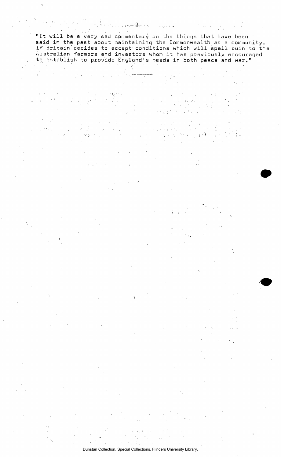$\label{eq:2.1} \frac{1}{2} \sum_{\alpha \in \mathcal{A}} \frac{1}{\alpha} \sum_{\alpha \in \mathcal{A}} \frac{1}{\alpha} \sum_{\alpha \in \mathcal{A}} \frac{1}{\alpha} \sum_{\alpha \in \mathcal{A}} \frac{1}{\alpha} \sum_{\alpha \in \mathcal{A}} \frac{1}{\alpha} \sum_{\alpha \in \mathcal{A}} \frac{1}{\alpha} \sum_{\alpha \in \mathcal{A}} \frac{1}{\alpha} \sum_{\alpha \in \mathcal{A}} \frac{1}{\alpha} \sum_{\alpha \in \mathcal{A}} \frac{1}{\alpha} \sum_{\alpha \in \mathcal{A}} \frac$  $\mathcal{L}^{\pm}$ "It will be a very sad commentary on the things that have been . said in the past about maintaining the Commonwealth as a community,<br>if Britain decides to accept conditions which will spell ruin to the<br>Australian farmers and investors whom it has previously encouraged to establish to provide England's needs in both peace and war."

 $\mathcal{L}^{\text{max}}$  and  $\mathcal{L}^{\text{max}}$ 

Arab La<del>hing</del> and Company of

 $\mathcal{A}=\mathcal{A}$  $\mathcal{A}^{\text{eff}}_{\text{eff}}$  $\mathcal{L}_{\text{max}}$  $\mathbb{R}^2$ 

Dunstan Collection, Special Collections, Flinders University Library.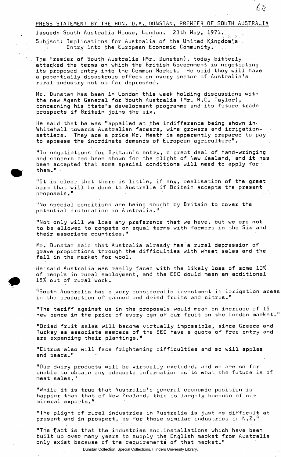PRESS STATEMENT BY THE HON. D.A. DUNSTAN, PREMIER OF SOUTH AUSTRALIA

Issued: South Australia House, London. 28th May, 1971.. Subject: Implications for Australia of the United Kingdom's Entry into the European Economic Community.

The Premier of South Australia (Mr. Dunstan), today bitterly, attacked the terms on which the British Government is negotiating its proposed entry into the Common Market. He said they will'have a potentially disastrous effect on every sector of Australia's rural industry not so far depressed.

Mr. Dunstan has been in London this week holding discussions with the new Agent General for South Australia (Mr. R.C. Taylor), concerning his State's development programme and its future trade prospects if Britain joins the six.

He said that he was "appalled at the indifference being shown in> Whitehall towards Australian farmers, wine growers and irrigationsettlers. They are a price Mr. Heath is apparently prepared to pay to appease the inordinate demands of European agriculture".

"In negotiations for Britain's entry, a great deal of hand-wringing and concern has been shown for the plight of New Zealand, and it has been accepted that some special conditions will need to apply for them."

"It is clear that there is little, if any, realisation of the great harm that will be done to Australia if Britain accepts the present proposals."

"No special conditions are being sought by Britain to cover the potential dislocation in Australia."

"Not only will we lose any preference that we have, but we are not to be allowed to compete on equal terms with farmers in the Six and their associate countries."

Mr. Dunstan said that Australia already has a rural depression of grave proportions through the difficulties with wheat sales and the fall in the market for wool.

He said Australia was really faced with the likely loss of some 10% of people in rural employment, and the EEC dould mean an additional 15\$ out of rural work.

"South Australia has a very considerable investment in irrigation areas in the production of canned and dried fruits and citrus."

"The tariff against us in the proposals would mean an increase of 15 new pence in the price of every can of oux fruit on the London market."

"Dried fruit sales will become virtually impossible, since Greece and Turkey as associate members of the EEC have a quota of free entry and are expanding their plantings."

"Citrus also will face frightening difficulties and so will apples and pears."

"Our dairy products will be virtually excluded, and we are so far unable to obtain any adequate information as to what the future is of meat sales."

"While it is true that Australia's general economic position is happier than that of New Zealand, this is largely because of our mineral exports."

"The plight of rural industries in Australia is just as difficult at present and in prospect, as for those similar industries in N.Z."

"The fact is that the industries and installations which have been built up over many years to supply the English market from Australia only exist because of the requirements of that market."

Dunstan Collection, Special Collections, Flinders University Library.

 $63$